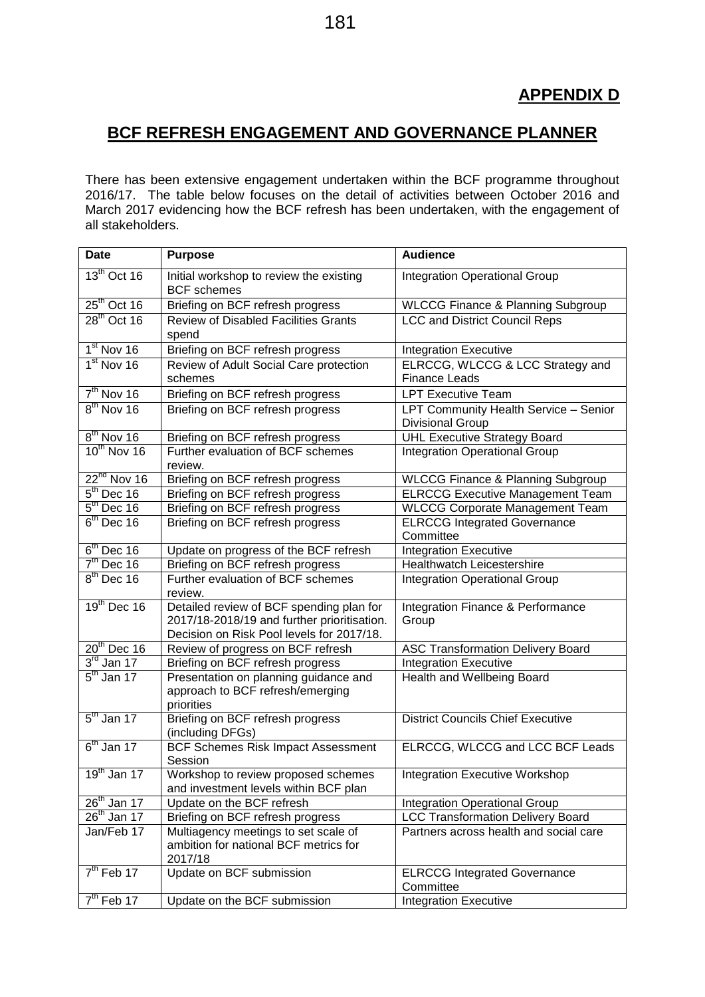## **BCF REFRESH ENGAGEMENT AND GOVERNANCE PLANNER**

There has been extensive engagement undertaken within the BCF programme throughout 2016/17. The table below focuses on the detail of activities between October 2016 and March 2017 evidencing how the BCF refresh has been undertaken, with the engagement of all stakeholders.

| <b>Date</b>             | <b>Purpose</b>                                                                                                                       | <b>Audience</b>                                           |
|-------------------------|--------------------------------------------------------------------------------------------------------------------------------------|-----------------------------------------------------------|
| $13^{\text{th}}$ Oct 16 | Initial workshop to review the existing<br><b>BCF</b> schemes                                                                        | <b>Integration Operational Group</b>                      |
| $25th$ Oct 16           | Briefing on BCF refresh progress                                                                                                     | <b>WLCCG Finance &amp; Planning Subgroup</b>              |
| $28^{\text{th}}$ Oct 16 | <b>Review of Disabled Facilities Grants</b><br>spend                                                                                 | <b>LCC and District Council Reps</b>                      |
| $1st$ Nov 16            | Briefing on BCF refresh progress                                                                                                     | <b>Integration Executive</b>                              |
| $1st$ Nov 16            | Review of Adult Social Care protection<br>schemes                                                                                    | ELRCCG, WLCCG & LCC Strategy and<br><b>Finance Leads</b>  |
| $7th$ Nov 16            | Briefing on BCF refresh progress                                                                                                     | <b>LPT Executive Team</b>                                 |
| $8th$ Nov 16            | Briefing on BCF refresh progress                                                                                                     | LPT Community Health Service - Senior<br>Divisional Group |
| $8th$ Nov 16            | Briefing on BCF refresh progress                                                                                                     | <b>UHL Executive Strategy Board</b>                       |
| $10^{th}$ Nov 16        | Further evaluation of BCF schemes<br>review.                                                                                         | Integration Operational Group                             |
| $22^{nd}$ Nov 16        | Briefing on BCF refresh progress                                                                                                     | <b>WLCCG Finance &amp; Planning Subgroup</b>              |
| $5th$ Dec 16            | Briefing on BCF refresh progress                                                                                                     | <b>ELRCCG Executive Management Team</b>                   |
| $5th$ Dec 16            | Briefing on BCF refresh progress                                                                                                     | <b>WLCCG Corporate Management Team</b>                    |
| $6th$ Dec 16            | Briefing on BCF refresh progress                                                                                                     | <b>ELRCCG Integrated Governance</b><br>Committee          |
| $6th$ Dec 16            | Update on progress of the BCF refresh                                                                                                | <b>Integration Executive</b>                              |
| $7th$ Dec 16            | Briefing on BCF refresh progress                                                                                                     | Healthwatch Leicestershire                                |
| $8th$ Dec 16            | Further evaluation of BCF schemes<br>review.                                                                                         | <b>Integration Operational Group</b>                      |
| $19th$ Dec 16           | Detailed review of BCF spending plan for<br>2017/18-2018/19 and further prioritisation.<br>Decision on Risk Pool levels for 2017/18. | Integration Finance & Performance<br>Group                |
| $20th$ Dec 16           | Review of progress on BCF refresh                                                                                                    | <b>ASC Transformation Delivery Board</b>                  |
| $3rd$ Jan 17            | Briefing on BCF refresh progress                                                                                                     | <b>Integration Executive</b>                              |
| $5th$ Jan 17            | Presentation on planning guidance and<br>approach to BCF refresh/emerging<br>priorities                                              | Health and Wellbeing Board                                |
| $5th$ Jan 17            | Briefing on BCF refresh progress<br>(including DFGs)                                                                                 | <b>District Councils Chief Executive</b>                  |
| $6th$ Jan 17            | <b>BCF Schemes Risk Impact Assessment</b><br>Session                                                                                 | ELRCCG, WLCCG and LCC BCF Leads                           |
| $19th$ Jan 17           | Workshop to review proposed schemes<br>and investment levels within BCF plan                                                         | <b>Integration Executive Workshop</b>                     |
| $26th$ Jan 17           | Update on the BCF refresh                                                                                                            | <b>Integration Operational Group</b>                      |
| $26th$ Jan 17           | Briefing on BCF refresh progress                                                                                                     | <b>LCC Transformation Delivery Board</b>                  |
| Jan/Feb 17              | Multiagency meetings to set scale of<br>ambition for national BCF metrics for<br>2017/18                                             | Partners across health and social care                    |
| $7th$ Feb 17            | Update on BCF submission                                                                                                             | <b>ELRCCG Integrated Governance</b><br>Committee          |
| $7th$ Feb 17            | Update on the BCF submission                                                                                                         | <b>Integration Executive</b>                              |